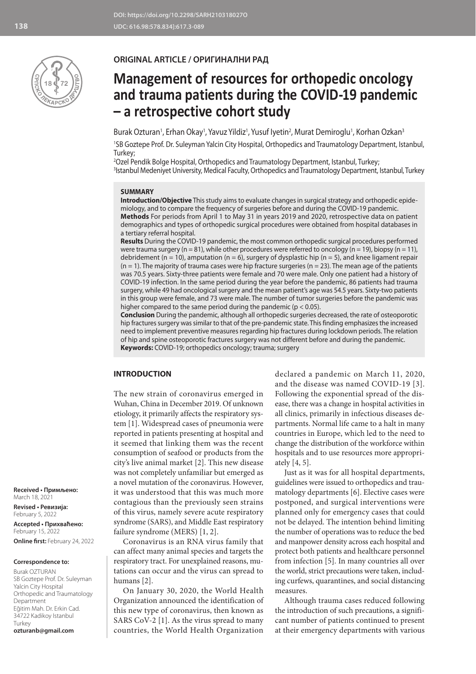

# **ORIGINAL ARTICLE / ОРИГИНАЛНИ РАД**

# **Management of resources for orthopedic oncology and trauma patients during the COVID-19 pandemic – a retrospective cohort study**

Burak Ozturan<sup>1</sup>, Erhan Okay<sup>1</sup>, Yavuz Yildiz<sup>1</sup>, Yusuf Iyetin<sup>2</sup>, Murat Demiroglu<sup>1</sup>, Korhan Ozkan<sup>3</sup>

1 SB Goztepe Prof. Dr. Suleyman Yalcin City Hospital, Orthopedics and Traumatology Department, Istanbul, Turkey;

2 Ozel Pendik Bolge Hospital, Orthopedics and Traumatology Department, Istanbul, Turkey; 3 Istanbul Medeniyet University, Medical Faculty, Orthopedics and Traumatology Department, Istanbul, Turkey

#### **SUMMARY**

**Introduction/Objective** This study aims to evaluate changes in surgical strategy and orthopedic epidemiology, and to compare the frequency of surgeries before and during the COVID-19 pandemic. **Methods** For periods from April 1 to May 31 in years 2019 and 2020, retrospective data on patient demographics and types of orthopedic surgical procedures were obtained from hospital databases in

a tertiary referral hospital. **Results** During the COVID-19 pandemic, the most common orthopedic surgical procedures performed were trauma surgery ( $n = 81$ ), while other procedures were referred to oncology ( $n = 19$ ), biopsy ( $n = 11$ ), debridement (n = 10), amputation (n = 6), surgery of dysplastic hip (n = 5), and knee ligament repair  $(n = 1)$ . The majority of trauma cases were hip fracture surgeries  $(n = 23)$ . The mean age of the patients was 70.5 years. Sixty-three patients were female and 70 were male. Only one patient had a history of COVID-19 infection. In the same period during the year before the pandemic, 86 patients had trauma surgery, while 49 had oncological surgery and the mean patient's age was 54.5 years. Sixty-two patients in this group were female, and 73 were male. The number of tumor surgeries before the pandemic was higher compared to the same period during the pandemic (p < 0.05).

**Conclusion** During the pandemic, although all orthopedic surgeries decreased, the rate of osteoporotic hip fractures surgery was similar to that of the pre-pandemic state. This finding emphasizes the increased need to implement preventive measures regarding hip fractures during lockdown periods. The relation of hip and spine osteoporotic fractures surgery was not different before and during the pandemic. **Keywords:** COVID-19; orthopedics oncology; trauma; surgery

# **INTRODUCTION**

The new strain of coronavirus emerged in Wuhan, China in December 2019. Of unknown etiology, it primarily affects the respiratory system [1]. Widespread cases of pneumonia were reported in patients presenting at hospital and it seemed that linking them was the recent consumption of seafood or products from the city's live animal market [2]. This new disease was not completely unfamiliar but emerged as a novel mutation of the coronavirus. However, it was understood that this was much more contagious than the previously seen strains of this virus, namely severe acute respiratory syndrome (SARS), and Middle East respiratory failure syndrome (MERS) [1, 2].

Coronavirus is an RNA virus family that can affect many animal species and targets the respiratory tract. For unexplained reasons, mutations can occur and the virus can spread to humans [2].

On January 30, 2020, the World Health Organization announced the identification of this new type of coronavirus, then known as SARS CoV-2 [1]. As the virus spread to many countries, the World Health Organization

declared a pandemic on March 11, 2020, and the disease was named COVID-19 [3]. Following the exponential spread of the disease, there was a change in hospital activities in all clinics, primarily in infectious diseases departments. Normal life came to a halt in many countries in Europe, which led to the need to change the distribution of the workforce within hospitals and to use resources more appropriately [4, 5].

Just as it was for all hospital departments, guidelines were issued to orthopedics and traumatology departments [6]. Elective cases were postponed, and surgical interventions were planned only for emergency cases that could not be delayed. The intention behind limiting the number of operations was to reduce the bed and manpower density across each hospital and protect both patients and healthcare personnel from infection [5]. In many countries all over the world, strict precautions were taken, including curfews, quarantines, and social distancing measures.

Although trauma cases reduced following the introduction of such precautions, a significant number of patients continued to present at their emergency departments with various

**Received • Примљено:**  March 18, 2021 **Revised • Ревизија:**  February 5, 2022

**Accepted • Прихваћено:** February 15, 2022 **Online first:** February 24, 2022

#### **Correspondence to:**

Burak OZTURAN SB Goztepe Prof. Dr. Suleyman Yalcin City Hospital Orthopedic and Traumatology Department Eğitim Mah. Dr. Erkin Cad. 34722 Kadikoy Istanbul Turkey **ozturanb@gmail.com**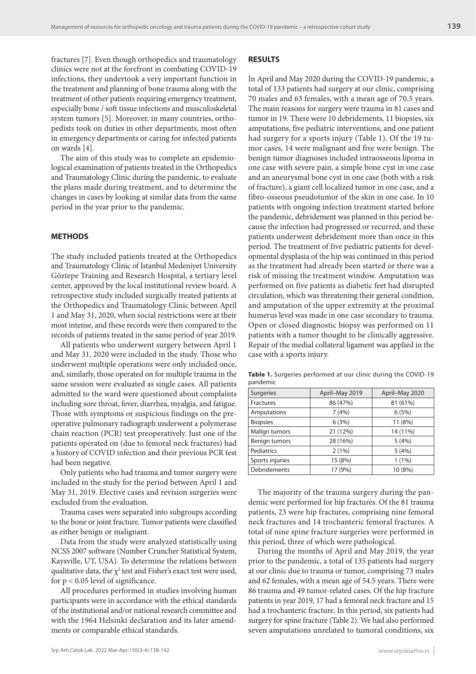fractures [7]. Even though orthopedics and traumatology clinics were not at the forefront in combating COVID-19 infections, they undertook a very important function in the treatment and planning of bone trauma along with the treatment of other patients requiring emergency treatment, especially bone / soft tissue infections and musculoskeletal system tumors [5]. Moreover, in many countries, orthopedists took on duties in other departments, most often in emergency departments or caring for infected patients on wards [4].

The aim of this study was to complete an epidemiological examination of patients treated in the Orthopedics and Traumatology Clinic during the pandemic, to evaluate the plans made during treatment, and to determine the changes in cases by looking at similar data from the same period in the year prior to the pandemic.

# **METHODS**

The study included patients treated at the Orthopedics and Traumatology Clinic of Istanbul Medeniyet University Göztepe Training and Research Hospital, a tertiary level center, approved by the local institutional review board. A retrospective study included surgically treated patients at the Orthopedics and Traumatology Clinic between April 1 and May 31, 2020, when social restrictions were at their most intense, and these records were then compared to the records of patients treated in the same period of year 2019.

All patients who underwent surgery between April 1 and May 31, 2020 were included in the study. Those who underwent multiple operations were only included once, and, similarly, those operated on for multiple trauma in the same session were evaluated as single cases. All patients admitted to the ward were questioned about complaints including sore throat, fever, diarrhea, myalgia, and fatigue. Those with symptoms or suspicious findings on the preoperative pulmonary radiograph underwent a polymerase chain reaction (PCR) test preoperatively. Just one of the patients operated on (due to femoral neck fractures) had a history of COVID infection and their previous PCR test had been negative.

Only patients who had trauma and tumor surgery were included in the study for the period between April 1 and May 31, 2019. Elective cases and revision surgeries were excluded from the evaluation.

Trauma cases were separated into subgroups according to the bone or joint fracture. Tumor patients were classified as either benign or malignant.

Data from the study were analyzed statistically using NCSS 2007 software (Number Cruncher Statistical System, Kaysville, UT, USA). To determine the relations between qualitative data, the  $\chi^2$  test and Fisher's exact test were used, for  $p < 0.05$  level of significance.

All procedures performed in studies involving human participants were in accordance with the ethical standards of the institutional and/or national research committee and with the 1964 Helsinki declaration and its later amendments or comparable ethical standards.

#### **RESULTS**

In April and May 2020 during the COVID-19 pandemic, a total of 133 patients had surgery at our clinic, comprising 70 males and 63 females, with a mean age of 70.5 years. The main reasons for surgery were trauma in 81 cases and tumor in 19. There were 10 debridements, 11 biopsies, six amputations, five pediatric interventions, and one patient had surgery for a sports injury (Table 1). Of the 19 tumor cases, 14 were malignant and five were benign. The benign tumor diagnoses included intraosseous lipoma in one case with severe pain, a simple bone cyst in one case and an aneurysmal bone cyst in one case (both with a risk of fracture), a giant cell localized tumor in one case, and a fibro-osseous pseudotumor of the skin in one case. In 10 patients with ongoing infection treatment started before the pandemic, debridement was planned in this period because the infection had progressed or recurred, and these patients underwent debridement more than once in this period. The treatment of five pediatric patients for developmental dysplasia of the hip was continued in this period as the treatment had already been started or there was a risk of missing the treatment window. Amputation was performed on five patients as diabetic feet had disrupted circulation, which was threatening their general condition, and amputation of the upper extremity at the proximal humerus level was made in one case secondary to trauma. Open or closed diagnostic biopsy was performed on 11 patients with a tumor thought to be clinically aggressive. Repair of the medial collateral ligament was applied in the case with a sports injury.

| Surgeries            | April-May 2019 | April-May 2020 |  |  |  |
|----------------------|----------------|----------------|--|--|--|
| <b>Fractures</b>     | 86 (47%)       | 81 (61%)       |  |  |  |
| Amputations          | 7(4%)          | 6(5%)          |  |  |  |
| <b>Biopsies</b>      | 6(3%)          | 11 (8%)        |  |  |  |
| Malign tumors        | 21 (12%)       | 14 (11%)       |  |  |  |
| <b>Benign tumors</b> | 28 (16%)       | 5(4%)          |  |  |  |
| Pediatrics           | 2(1%)          | 5(4%)          |  |  |  |
| Sports injuries      | 15 (8%)        | $1(1\%)$       |  |  |  |
| <b>Debridements</b>  | 17 (9%)        | 10 (8%)        |  |  |  |

**Table 1.** Surgeries performed at our clinic during the COVID-19 pandemic

The majority of the trauma surgery during the pandemic were performed for hip fractures. Of the 81 trauma patients, 23 were hip fractures, comprising nine femoral neck fractures and 14 trochanteric femoral fractures. A total of nine spine fracture surgeries were performed in this period, three of which were pathological.

During the months of April and May 2019, the year prior to the pandemic, a total of 135 patients had surgery at our clinic due to trauma or tumor, comprising 73 males and 62 females, with a mean age of 54.5 years. There were 86 trauma and 49 tumor-related cases. Of the hip fracture patients in year 2019, 17 had a femoral neck fracture and 15 had a trochanteric fracture. In this period, six patients had surgery for spine fracture (Table 2). We had also performed seven amputations unrelated to tumoral conditions, six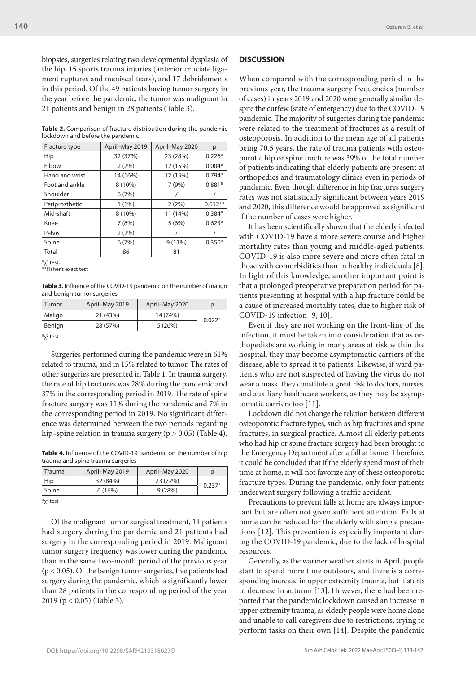biopsies, surgeries relating two developmental dysplasia of the hip, 15 sports trauma injuries (anterior cruciate ligament ruptures and meniscal tears), and 17 debridements in this period. Of the 49 patients having tumor surgery in the year before the pandemic, the tumor was malignant in 21 patients and benign in 28 patients (Table 3).

**Table 2.** Comparison of fracture distribution during the pandemic lockdown and before the pandemic

| Fracture type  | April-May 2019 | April-May 2020 | р         |
|----------------|----------------|----------------|-----------|
| Hip            | 32 (37%)       | 23 (28%)       | $0.226*$  |
| Elbow          | 2(2%)          | 12 (15%)       | $0.004*$  |
| Hand and wrist | 14 (16%)       | 12 (15%)       | $0.794*$  |
| Foot and ankle | 8 (10%)        | 7(9%)          | $0.881*$  |
| Shoulder       | 6(7%)          |                |           |
| Periprosthetic | $1(1\%)$       | 2(2%)          | $0.612**$ |
| Mid-shaft      | 8 (10%)        | 11 (14%)       | $0.384*$  |
| Knee           | 7(8%)          | 5(6%)          | $0.623*$  |
| Pelvis         | 2(2%)          |                |           |
| Spine          | 6(7%)          | $9(11\%)$      | $0.350*$  |
| Total          | 86             | 81             |           |

 $^{\ast}$ χ $^2$  test;

\*\*Fisher's exact test

**Table 3.** Influence of the COVID-19 pandemic on the number of malign and benign tumor surgeries

| Tumor          | April-May 2019 | April-May 2020 |          |  |
|----------------|----------------|----------------|----------|--|
| Malign         | 21 (43%)       | 14 (74%)       | $0.022*$ |  |
| Benign         | 28 (57%)       | 5(26%)         |          |  |
| $*_{X^2}$ test |                |                |          |  |

Surgeries performed during the pandemic were in 61% related to trauma, and in 15% related to tumor. The rates of other surgeries are presented in Table 1. In trauma surgery, the rate of hip fractures was 28% during the pandemic and 37% in the corresponding period in 2019. The rate of spine fracture surgery was 11% during the pandemic and 7% in the corresponding period in 2019. No significant difference was determined between the two periods regarding hip–spine relation in trauma surgery (p > 0.05) (Table 4).

**Table 4.** Influence of the COVID-19 pandemic on the number of hip trauma and spine trauma surgeries

| Trauma       | April-May 2019 | April-May 2020 |          |
|--------------|----------------|----------------|----------|
| Hip          | 32 (84%)       | 23 (72%)       |          |
| <b>Spine</b> | 6(16%)         | 9(28%)         | $0.237*$ |
|              |                |                |          |

\*χ2 test

Of the malignant tumor surgical treatment, 14 patients had surgery during the pandemic and 21 patients had surgery in the corresponding period in 2019. Malignant tumor surgery frequency was lower during the pandemic than in the same two-month period of the previous year (p < 0.05). Of the benign tumor surgeries, five patients had surgery during the pandemic, which is significantly lower than 28 patients in the corresponding period of the year 2019 (p < 0.05) (Table 3).

### **DISCUSSION**

When compared with the corresponding period in the previous year, the trauma surgery frequencies (number of cases) in years 2019 and 2020 were generally similar despite the curfew (state of emergency) due to the COVID-19 pandemic. The majority of surgeries during the pandemic were related to the treatment of fractures as a result of osteoporosis. In addition to the mean age of all patients being 70.5 years, the rate of trauma patients with osteoporotic hip or spine fracture was 39% of the total number of patients indicating that elderly patients are present at orthopedics and traumatology clinics even in periods of pandemic. Even though difference in hip fractures surgery rates was not statistically significant between years 2019 and 2020, this difference would be approved as significant if the number of cases were higher.

It has been scientifically shown that the elderly infected with COVID-19 have a more severe course and higher mortality rates than young and middle-aged patients. COVID-19 is also more severe and more often fatal in those with comorbidities than in healthy individuals [8]. In light of this knowledge, another important point is that a prolonged preoperative preparation period for patients presenting at hospital with a hip fracture could be a cause of increased mortality rates, due to higher risk of COVID-19 infection [9, 10].

Even if they are not working on the front-line of the infection, it must be taken into consideration that as orthopedists are working in many areas at risk within the hospital, they may become asymptomatic carriers of the disease, able to spread it to patients. Likewise, if ward patients who are not suspected of having the virus do not wear a mask, they constitute a great risk to doctors, nurses, and auxiliary healthcare workers, as they may be asymptomatic carriers too [11].

Lockdown did not change the relation between different osteoporotic fracture types, such as hip fractures and spine fractures, in surgical practice. Almost all elderly patients who had hip or spine fracture surgery had been brought to the Emergency Department after a fall at home. Therefore, it could be concluded that if the elderly spend most of their time at home, it will not favorize any of these osteoporotic fracture types. During the pandemic, only four patients underwent surgery following a traffic accident.

Precautions to prevent falls at home are always important but are often not given sufficient attention. Falls at home can be reduced for the elderly with simple precautions [12]. This prevention is especially important during the COVID-19 pandemic, due to the lack of hospital resources.

Generally, as the warmer weather starts in April, people start to spend more time outdoors, and there is a corresponding increase in upper extremity trauma, but it starts to decrease in autumn [13]. However, there had been reported that the pandemic lockdown caused an increase in upper extremity trauma, as elderly people were home alone and unable to call caregivers due to restrictions, trying to perform tasks on their own [14]. Despite the pandemic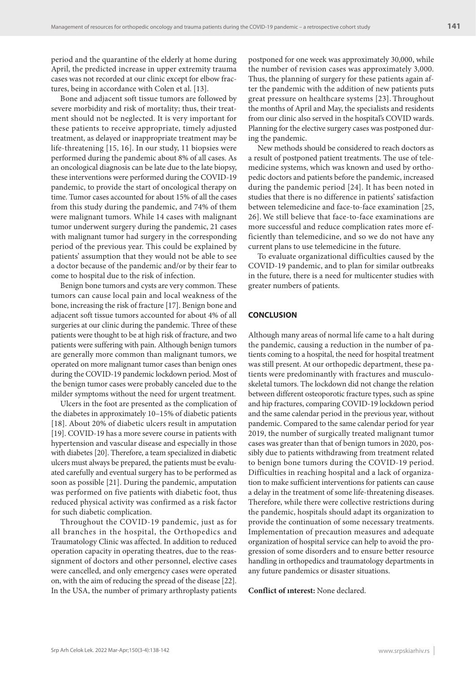period and the quarantine of the elderly at home during April, the predicted increase in upper extremity trauma cases was not recorded at our clinic except for elbow fractures, being in accordance with Colen et al. [13].

Bone and adjacent soft tissue tumors are followed by severe morbidity and risk of mortality; thus, their treatment should not be neglected. It is very important for these patients to receive appropriate, timely adjusted treatment, as delayed or inappropriate treatment may be life-threatening [15, 16]. In our study, 11 biopsies were performed during the pandemic about 8% of all cases. As an oncological diagnosis can be late due to the late biopsy, these interventions were performed during the COVID-19 pandemic, to provide the start of oncological therapy on time. Tumor cases accounted for about 15% of all the cases from this study during the pandemic, and 74% of them were malignant tumors. While 14 cases with malignant tumor underwent surgery during the pandemic, 21 cases with malignant tumor had surgery in the corresponding period of the previous year. This could be explained by patients' assumption that they would not be able to see a doctor because of the pandemic and/or by their fear to come to hospital due to the risk of infection.

Benign bone tumors and cysts are very common. These tumors can cause local pain and local weakness of the bone, increasing the risk of fracture [17]. Benign bone and adjacent soft tissue tumors accounted for about 4% of all surgeries at our clinic during the pandemic. Three of these patients were thought to be at high risk of fracture, and two patients were suffering with pain. Although benign tumors are generally more common than malignant tumors, we operated on more malignant tumor cases than benign ones during the COVID-19 pandemic lockdown period. Most of the benign tumor cases were probably canceled due to the milder symptoms without the need for urgent treatment.

Ulcers in the foot are presented as the complication of the diabetes in approximately 10–15% of diabetic patients [18]. About 20% of diabetic ulcers result in amputation [19]. COVID-19 has a more severe course in patients with hypertension and vascular disease and especially in those with diabetes [20]. Therefore, a team specialized in diabetic ulcers must always be prepared, the patients must be evaluated carefully and eventual surgery has to be performed as soon as possible [21]. During the pandemic, amputation was performed on five patients with diabetic foot, thus reduced physical activity was confirmed as a risk factor for such diabetic complication.

Throughout the COVID-19 pandemic, just as for all branches in the hospital, the Orthopedics and Traumatology Clinic was affected. In addition to reduced operation capacity in operating theatres, due to the reassignment of doctors and other personnel, elective cases were cancelled, and only emergency cases were operated on, with the aim of reducing the spread of the disease [22]. In the USA, the number of primary arthroplasty patients

postponed for one week was approximately 30,000, while the number of revision cases was approximately 3,000. Thus, the planning of surgery for these patients again after the pandemic with the addition of new patients puts great pressure on healthcare systems [23]. Throughout the months of April and May, the specialists and residents from our clinic also served in the hospital's COVID wards. Planning for the elective surgery cases was postponed during the pandemic.

New methods should be considered to reach doctors as a result of postponed patient treatments. The use of telemedicine systems, which was known and used by orthopedic doctors and patients before the pandemic, increased during the pandemic period [24]. It has been noted in studies that there is no difference in patients' satisfaction between telemedicine and face-to-face examination [25, 26]. We still believe that face-to-face examinations are more successful and reduce complication rates more efficiently than telemedicine, and so we do not have any current plans to use telemedicine in the future.

To evaluate organizational difficulties caused by the COVID-19 pandemic, and to plan for similar outbreaks in the future, there is a need for multicenter studies with greater numbers of patients.

### **CONCLUSION**

Although many areas of normal life came to a halt during the pandemic, causing a reduction in the number of patients coming to a hospital, the need for hospital treatment was still present. At our orthopedic department, these patients were predominantly with fractures and musculoskeletal tumors. The lockdown did not change the relation between different osteoporotic fracture types, such as spine and hip fractures, comparing COVID-19 lockdown period and the same calendar period in the previous year, without pandemic. Compared to the same calendar period for year 2019, the number of surgically treated malignant tumor cases was greater than that of benign tumors in 2020, possibly due to patients withdrawing from treatment related to benign bone tumors during the COVID-19 period. Difficulties in reaching hospital and a lack of organization to make sufficient interventions for patients can cause a delay in the treatment of some life-threatening diseases. Therefore, while there were collective restrictions during the pandemic, hospitals should adapt its organization to provide the continuation of some necessary treatments. Implementation of precaution measures and adequate organization of hospital service can help to avoid the progression of some disorders and to ensure better resource handling in orthopedics and traumatology departments in any future pandemics or disaster situations.

#### **Conflict of ınterest:** None declared.